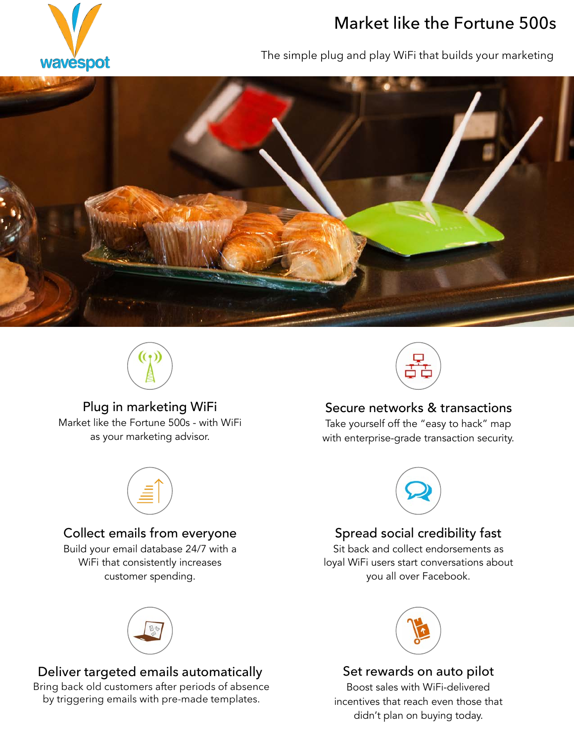

# Market like the Fortune 500s

The simple plug and play WiFi that builds your marketing





#### Plug in marketing WiFi

Market like the Fortune 500s - with WiFi as your marketing advisor.



### Collect emails from everyone

Build your email database 24/7 with a WiFi that consistently increases customer spending.



### Deliver targeted emails automatically

Bring back old customers after periods of absence by triggering emails with pre-made templates.



### Secure networks & transactions

Take yourself off the "easy to hack" map with enterprise-grade transaction security.



### Spread social credibility fast

Sit back and collect endorsements as loyal WiFi users start conversations about you all over Facebook.



#### Set rewards on auto pilot

Boost sales with WiFi-delivered incentives that reach even those that didn't plan on buying today.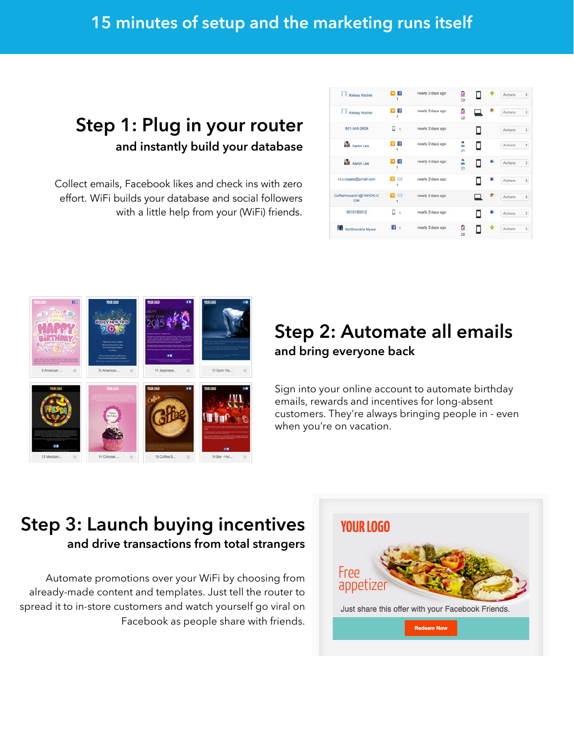## 15 minutes of setup and the marketing runs itself

## Step 1: Plug in your router and instantly build your database

Collect emails, Facebook likes and check ins with zero effort. WiFi builds your database and social followers with a little help from your (WiFi) friends.

| J<br>Kelsey Niichel         | $\pm$                         | nearly 2 days ago | Ω<br>22 |   |   | Actions        | ¢ |
|-----------------------------|-------------------------------|-------------------|---------|---|---|----------------|---|
| п<br>Kelsey Niichel         | $\mathbf{f}$<br>۹             | nearly 2 days ago | Ω<br>22 |   |   | Actions        | ÷ |
| 601-549-2609                | ٥<br>đ,                       | nearly 2 days ago |         |   |   | <b>Actions</b> | ٠ |
| Asron Lee                   | $\mathbf{f}$<br>١             | nearly 2 days ago | 2<br>31 | П |   | Actions        | ÷ |
| Aaron Lee                   | $\mathbf{f}$                  | nearly 2 days ago | 2<br>31 |   |   | Actions        | ¢ |
| r.l.s.rogers@gmail.com      | $\alpha$ $\approx$            | nearly 2 days ago |         |   |   | Actions        | ÷ |
| Coffeehouse51@YAHOO.C<br>OM | $\alpha =$<br>٠               | nearly 2 days ago |         |   | 凰 | Actions        | ÷ |
| 6018180012                  | о<br>$\overline{\phantom{a}}$ | nearly 2 days ago |         |   | ٠ | Actions        | ÷ |
| Ka'Shondria Myers           | $\mathbf{H}$                  | nearly 2 days ago | Ω<br>25 |   |   | Actions        | ٠ |



## Step 2: Automate all emails and bring everyone back

Sign into your online account to automate birthday emails, rewards and incentives for long-absent customers. They're always bringing people in - even when you're on vacation.

## Step 3: Launch buying incentives and drive transactions from total strangers

Automate promotions over your WiFi by choosing from already-made content and templates. Just tell the router to spread it to in-store customers and watch yourself go viral on Facebook as people share with friends.

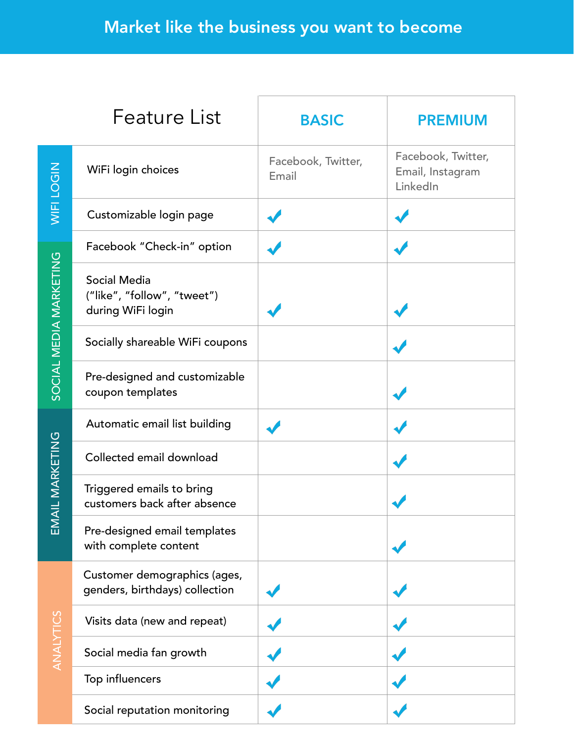|                               | <b>Feature List</b>                                                     | <b>BASIC</b>                | <b>PREMIUM</b>                                     |
|-------------------------------|-------------------------------------------------------------------------|-----------------------------|----------------------------------------------------|
| WIFI LOGIN                    | WiFi login choices                                                      | Facebook, Twitter,<br>Email | Facebook, Twitter,<br>Email, Instagram<br>LinkedIn |
|                               | Customizable login page                                                 |                             |                                                    |
| SOCIAL MEDIA MARKETING        | Facebook "Check-in" option                                              |                             |                                                    |
|                               | <b>Social Media</b><br>("like", "follow", "tweet")<br>during WiFi login |                             |                                                    |
|                               | Socially shareable WiFi coupons                                         |                             |                                                    |
|                               | Pre-designed and customizable<br>coupon templates                       |                             |                                                    |
| AIL MARKETING<br>$\mathsf{E}$ | Automatic email list building                                           |                             |                                                    |
|                               | Collected email download                                                |                             |                                                    |
|                               | Triggered emails to bring<br>customers back after absence               |                             |                                                    |
|                               | Pre-designed email templates<br>with complete content                   |                             |                                                    |
| ANALYTICS                     | Customer demographics (ages,<br>genders, birthdays) collection          |                             |                                                    |
|                               | Visits data (new and repeat)                                            |                             |                                                    |
|                               | Social media fan growth                                                 |                             |                                                    |
|                               | Top influencers                                                         |                             |                                                    |
|                               | Social reputation monitoring                                            |                             |                                                    |